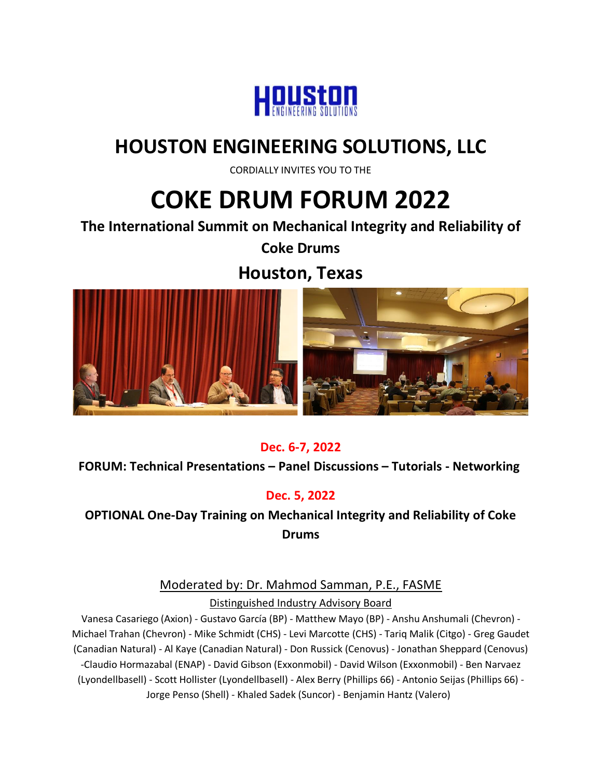

# **HOUSTON ENGINEERING SOLUTIONS, LLC**

CORDIALLY INVITES YOU TO THE

# **COKE DRUM FORUM 2022**

**The International Summit on Mechanical Integrity and Reliability of** 

**Coke Drums** 

**Houston, Texas**



#### **Dec. 6-7, 2022**

**FORUM: Technical Presentations – Panel Discussions – Tutorials - Networking**

#### **Dec. 5, 2022**

**OPTIONAL One-Day Training on Mechanical Integrity and Reliability of Coke Drums**

> Moderated by: Dr. Mahmod Samman, P.E., FASME Distinguished Industry Advisory Board

Vanesa Casariego (Axion) - Gustavo García (BP) - Matthew Mayo (BP) - Anshu Anshumali (Chevron) - Michael Trahan (Chevron) - Mike Schmidt (CHS) - Levi Marcotte (CHS) - Tariq Malik (Citgo) - Greg Gaudet (Canadian Natural) - Al Kaye (Canadian Natural) - Don Russick (Cenovus) - Jonathan Sheppard (Cenovus) -Claudio Hormazabal (ENAP) - David Gibson (Exxonmobil) - David Wilson (Exxonmobil) - Ben Narvaez (Lyondellbasell) - Scott Hollister (Lyondellbasell) - Alex Berry (Phillips 66) - Antonio Seijas (Phillips 66) - Jorge Penso (Shell) - Khaled Sadek (Suncor) - Benjamin Hantz (Valero)